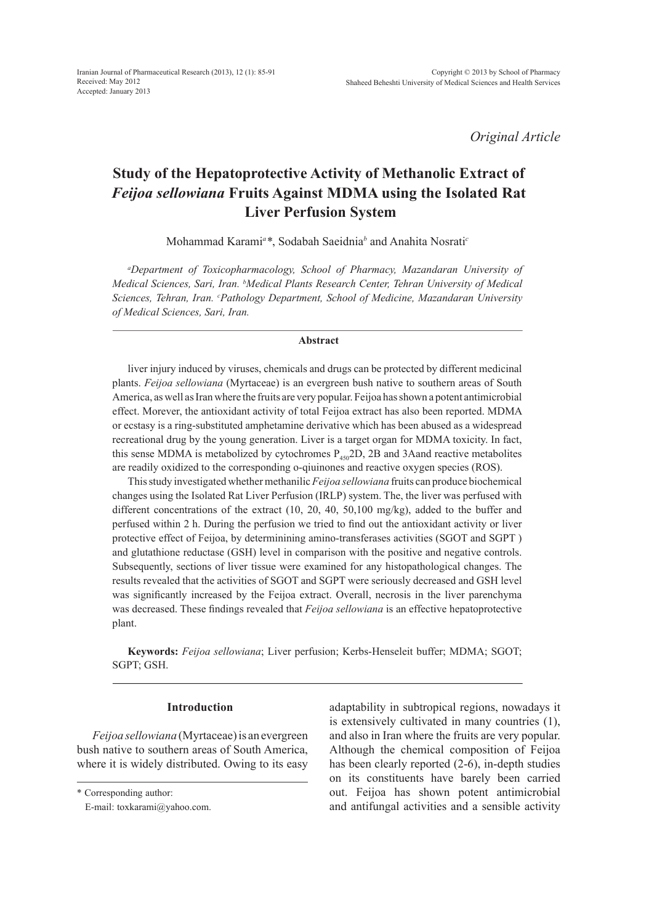*Original Article*

# **Study of the Hepatoprotective Activity of Methanolic Extract of**  *Feijoa sellowiana* **Fruits Against MDMA using the Isolated Rat Liver Perfusion System**

Mohammad Karami*<sup>a</sup> \**, Sodabah Saeidnia*<sup>b</sup>* and Anahita Nosrati*<sup>c</sup>*

*a Department of Toxicopharmacology, School of Pharmacy, Mazandaran University of Medical Sciences, Sari, Iran. b Medical Plants Research Center, Tehran University of Medical Sciences, Tehran, Iran. c Pathology Department, School of Medicine, Mazandaran University of Medical Sciences, Sari, Iran.*

#### **Abstract**

liver injury induced by viruses, chemicals and drugs can be protected by different medicinal plants. *Feijoa sellowiana* (Myrtaceae) is an evergreen bush native to southern areas of South America, as well as Iran where the fruits are very popular. Feijoa has shown a potent antimicrobial effect. Morever, the antioxidant activity of total Feijoa extract has also been reported. MDMA or ecstasy is a ring-substituted amphetamine derivative which has been abused as a widespread recreational drug by the young generation. Liver is a target organ for MDMA toxicity. In fact, this sense MDMA is metabolized by cytochromes  $P_{450}$ 2D, 2B and 3Aand reactive metabolites are readily oxidized to the corresponding o-qiuinones and reactive oxygen species (ROS).

This study investigated whether methanilic *Feijoa sellowiana* fruits can produce biochemical changes using the Isolated Rat Liver Perfusion (IRLP) system. The, the liver was perfused with different concentrations of the extract (10, 20, 40, 50,100 mg/kg), added to the buffer and perfused within 2 h. During the perfusion we tried to find out the antioxidant activity or liver protective effect of Feijoa, by determinining amino-transferases activities (SGOT and SGPT ) and glutathione reductase (GSH) level in comparison with the positive and negative controls. Subsequently, sections of liver tissue were examined for any histopathological changes. The results revealed that the activities of SGOT and SGPT were seriously decreased and GSH level was significantly increased by the Feijoa extract. Overall, necrosis in the liver parenchyma was decreased. These findings revealed that *Feijoa sellowiana* is an effective hepatoprotective plant.

**Keywords:** *Feijoa sellowiana*; Liver perfusion; Kerbs-Henseleit buffer; MDMA; SGOT; SGPT; GSH.

# **Introduction**

*Feijoa sellowiana* (Myrtaceae) is an evergreen bush native to southern areas of South America, where it is widely distributed. Owing to its easy

adaptability in subtropical regions, nowadays it is extensively cultivated in many countries (1), and also in Iran where the fruits are very popular. Although the chemical composition of Feijoa has been clearly reported (2-6), in-depth studies on its constituents have barely been carried out. Feijoa has shown potent antimicrobial and antifungal activities and a sensible activity

<sup>\*</sup> Corresponding author:

E-mail: toxkarami@yahoo.com.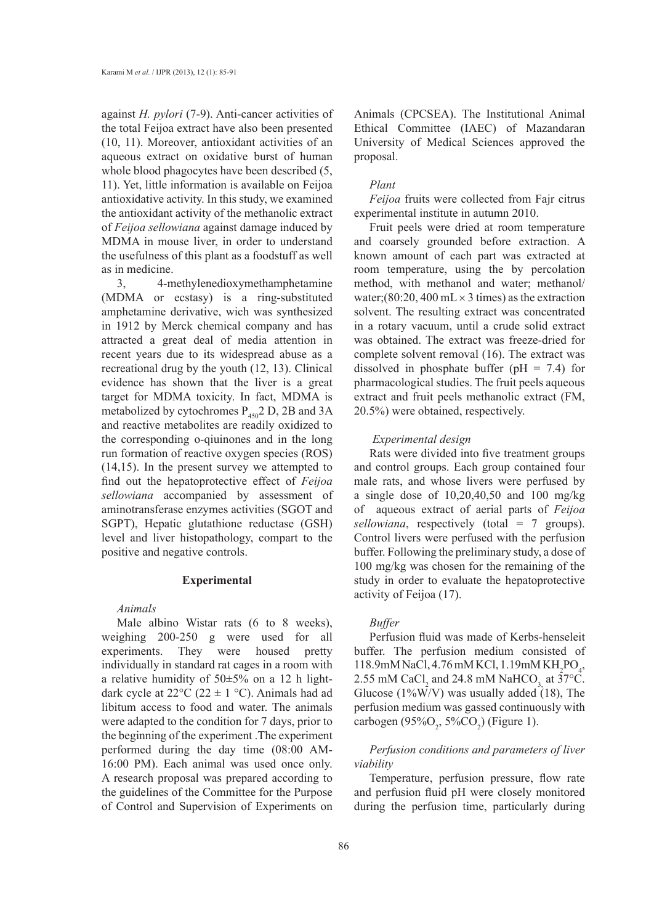against *H. pylori* (7-9). Anti-cancer activities of the total Feijoa extract have also been presented (10, 11). Moreover, antioxidant activities of an aqueous extract on oxidative burst of human whole blood phagocytes have been described (5, 11). Yet, little information is available on Feijoa antioxidative activity. In this study, we examined the antioxidant activity of the methanolic extract of *Feijoa sellowiana* against damage induced by MDMA in mouse liver, in order to understand the usefulness of this plant as a foodstuff as well as in medicine.

3, 4-methylenedioxymethamphetamine (MDMA or ecstasy) is a ring-substituted amphetamine derivative, wich was synthesized in 1912 by Merck chemical company and has attracted a great deal of media attention in recent years due to its widespread abuse as a recreational drug by the youth (12, 13). Clinical evidence has shown that the liver is a great target for MDMA toxicity. In fact, MDMA is metabolized by cytochromes  $P_{450}$ <sup>2</sup> D, 2B and 3A and reactive metabolites are readily oxidized to the corresponding o-qiuinones and in the long run formation of reactive oxygen species (ROS) (14,15). In the present survey we attempted to find out the hepatoprotective effect of *Feijoa sellowiana* accompanied by assessment of aminotransferase enzymes activities (SGOT and SGPT), Hepatic glutathione reductase (GSH) level and liver histopathology, compart to the positive and negative controls.

# **Experimental**

*Animals*

Male albino Wistar rats (6 to 8 weeks), weighing 200-250 g were used for all experiments. They were housed pretty individually in standard rat cages in a room with a relative humidity of 50±5% on a 12 h lightdark cycle at  $22^{\circ}C$  (22  $\pm$  1 °C). Animals had ad libitum access to food and water. The animals were adapted to the condition for 7 days, prior to the beginning of the experiment .The experiment performed during the day time (08:00 AM-16:00 PM). Each animal was used once only. A research proposal was prepared according to the guidelines of the Committee for the Purpose of Control and Supervision of Experiments on

Animals (CPCSEA). The Institutional Animal Ethical Committee (IAEC) of Mazandaran University of Medical Sciences approved the proposal.

#### *Plant*

*Feijoa* fruits were collected from Fajr citrus experimental institute in autumn 2010.

Fruit peels were dried at room temperature and coarsely grounded before extraction. A known amount of each part was extracted at room temperature, using the by percolation method, with methanol and water; methanol/ water;(80:20, 400 mL  $\times$  3 times) as the extraction solvent. The resulting extract was concentrated in a rotary vacuum, until a crude solid extract was obtained. The extract was freeze-dried for complete solvent removal (16). The extract was dissolved in phosphate buffer ( $pH = 7.4$ ) for pharmacological studies. The fruit peels aqueous extract and fruit peels methanolic extract (FM, 20.5%) were obtained, respectively.

# *Experimental design*

Rats were divided into five treatment groups and control groups. Each group contained four male rats, and whose livers were perfused by a single dose of 10,20,40,50 and 100 mg/kg of aqueous extract of aerial parts of *Feijoa sellowiana*, respectively (total = 7 groups). Control livers were perfused with the perfusion buffer. Following the preliminary study, a dose of 100 mg/kg was chosen for the remaining of the study in order to evaluate the hepatoprotective activity of Feijoa (17).

# *Buffer*

Perfusion fluid was made of Kerbs-henseleit buffer. The perfusion medium consisted of  $118.9 \text{mM}$  NaCl, 4.76 mM KCl, 1.19 mM KH<sub>2</sub>PO<sub>4</sub>, 2.55 mM CaCl<sub>2</sub> and 24.8 mM NaHCO<sub>3,</sub> at 37°C. Glucose (1%W/V) was usually added (18), The perfusion medium was gassed continuously with carbogen (95% $O_2$ , 5% $CO_2$ ) (Figure 1).

# *Perfusion conditions and parameters of liver viability*

Temperature, perfusion pressure, flow rate and perfusion fluid pH were closely monitored during the perfusion time, particularly during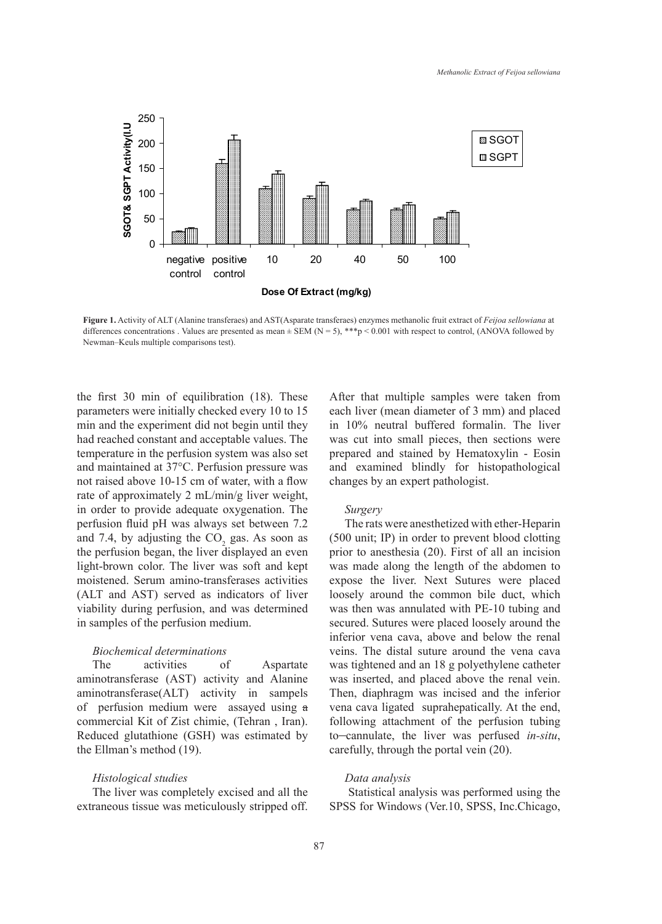

**Figure 1.** Activity of ALT (Alanine transferaes) and AST(Asparate transferaes) enzymes methanolic fruit extract of *Feijoa sellowiana* at differences concentrations . Values are presented as mean  $\pm$  SEM (N = 5), \*\*\*p < 0.001 with respect to control, (ANOVA followed by Newman–Keuls multiple comparisons test).

the first 30 min of equilibration (18). These parameters were initially checked every 10 to 15 min and the experiment did not begin until they had reached constant and acceptable values. The temperature in the perfusion system was also set and maintained at 37°C. Perfusion pressure was not raised above 10-15 cm of water, with a flow rate of approximately 2 mL/min/g liver weight, in order to provide adequate oxygenation. The perfusion fluid pH was always set between 7.2 and 7.4, by adjusting the  $CO_2$  gas. As soon as the perfusion began, the liver displayed an even light-brown color. The liver was soft and kept moistened. Serum amino-transferases activities (ALT and AST) served as indicators of liver viability during perfusion, and was determined in samples of the perfusion medium.

# *Biochemical determinations*

The activities of Aspartate aminotransferase (AST) activity and Alanine aminotransferase(ALT) activity in sampels of perfusion medium were assayed using a commercial Kit of Zist chimie, (Tehran , Iran). Reduced glutathione (GSH) was estimated by the Ellman's method (19).

#### *Histological studies*

The liver was completely excised and all the extraneous tissue was meticulously stripped off.

After that multiple samples were taken from each liver (mean diameter of 3 mm) and placed in 10% neutral buffered formalin. The liver was cut into small pieces, then sections were prepared and stained by Hematoxylin - Eosin and examined blindly for histopathological changes by an expert pathologist.

# *Surgery*

The rats were anesthetized with ether-Heparin (500 unit; IP) in order to prevent blood clotting prior to anesthesia (20). First of all an incision was made along the length of the abdomen to expose the liver. Next Sutures were placed loosely around the common bile duct, which was then was annulated with PE-10 tubing and secured. Sutures were placed loosely around the inferior vena cava, above and below the renal veins. The distal suture around the vena cava was tightened and an 18 g polyethylene catheter was inserted, and placed above the renal vein. Then, diaphragm was incised and the inferior vena cava ligated suprahepatically. At the end, following attachment of the perfusion tubing to cannulate, the liver was perfused *in-situ*, carefully, through the portal vein (20).

#### *Data analysis*

 Statistical analysis was performed using the SPSS for Windows (Ver.10, SPSS, Inc.Chicago,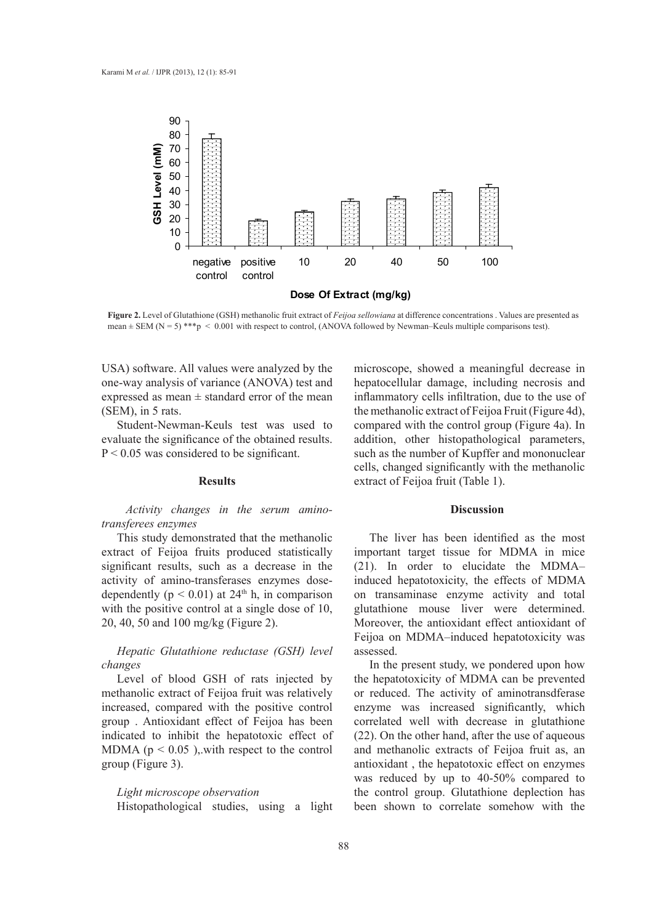

**Figure 2.** Level of Glutathione (GSH) methanolic fruit extract of *Feijoa sellowiana* at difference concentrations . Values are presented as mean  $\pm$  SEM (N = 5) \*\*\*p < 0.001 with respect to control, (ANOVA followed by Newman–Keuls multiple comparisons test).

USA) software. All values were analyzed by the one-way analysis of variance (ANOVA) test and expressed as mean  $\pm$  standard error of the mean (SEM), in 5 rats.

Student-Newman-Keuls test was used to evaluate the significance of the obtained results.  $P < 0.05$  was considered to be significant.

# **Results**

*Activity changes in the serum aminotransferees enzymes* 

This study demonstrated that the methanolic extract of Feijoa fruits produced statistically significant results, such as a decrease in the activity of amino-transferases enzymes dosedependently ( $p < 0.01$ ) at 24<sup>th</sup> h, in comparison with the positive control at a single dose of 10, 20, 40, 50 and 100 mg/kg (Figure 2).

*Hepatic Glutathione reductase (GSH) level changes* 

Level of blood GSH of rats injected by methanolic extract of Feijoa fruit was relatively increased, compared with the positive control group . Antioxidant effect of Feijoa has been indicated to inhibit the hepatotoxic effect of MDMA ( $p < 0.05$ ), with respect to the control group (Figure 3).

# *Light microscope observation*

Histopathological studies, using a light

microscope, showed a meaningful decrease in hepatocellular damage, including necrosis and inflammatory cells infiltration, due to the use of the methanolic extract of Feijoa Fruit (Figure 4d), compared with the control group (Figure 4a). In addition, other histopathological parameters, such as the number of Kupffer and mononuclear cells, changed significantly with the methanolic extract of Feijoa fruit (Table 1).

# **Discussion**

The liver has been identified as the most important target tissue for MDMA in mice (21). In order to elucidate the MDMA– induced hepatotoxicity, the effects of MDMA on transaminase enzyme activity and total glutathione mouse liver were determined. Moreover, the antioxidant effect antioxidant of Feijoa on MDMA–induced hepatotoxicity was assessed.

In the present study, we pondered upon how the hepatotoxicity of MDMA can be prevented or reduced. The activity of aminotransdferase enzyme was increased significantly, which correlated well with decrease in glutathione (22). On the other hand, after the use of aqueous and methanolic extracts of Feijoa fruit as, an antioxidant , the hepatotoxic effect on enzymes was reduced by up to 40-50% compared to the control group. Glutathione deplection has been shown to correlate somehow with the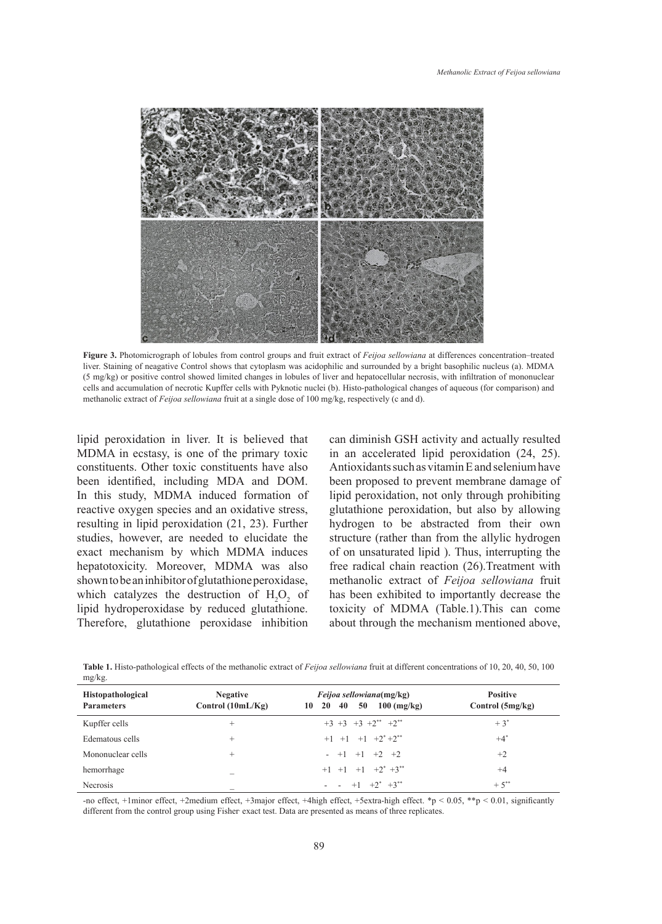

**Figure 3.** Photomicrograph of lobules from control groups and fruit extract of *Feijoa sellowiana* at differences concentration–treated liver. Staining of neagative Control shows that cytoplasm was acidophilic and surrounded by a bright basophilic nucleus (a). MDMA (5 mg/kg) or positive control showed limited changes in lobules of liver and hepatocellular necrosis, with infiltration of mononuclear cells and accumulation of necrotic Kupffer cells with Pyknotic nuclei (b). Histo-pathological changes of aqueous (for comparison) and methanolic extract of *Feijoa sellowiana* fruit at a single dose of 100 mg/kg, respectively (c and d).

lipid peroxidation in liver. It is believed that MDMA in ecstasy, is one of the primary toxic constituents. Other toxic constituents have also been identified, including MDA and DOM. In this study, MDMA induced formation of reactive oxygen species and an oxidative stress, resulting in lipid peroxidation (21, 23). Further studies, however, are needed to elucidate the exact mechanism by which MDMA induces hepatotoxicity. Moreover, MDMA was also shown to be an inhibitor of glutathione peroxidase, which catalyzes the destruction of  $H_2O_2$  of lipid hydroperoxidase by reduced glutathione. Therefore, glutathione peroxidase inhibition

can diminish GSH activity and actually resulted in an accelerated lipid peroxidation (24, 25). Antioxidants such as vitamin E and selenium have been proposed to prevent membrane damage of lipid peroxidation, not only through prohibiting glutathione peroxidation, but also by allowing hydrogen to be abstracted from their own structure (rather than from the allylic hydrogen of on unsaturated lipid ). Thus, interrupting the free radical chain reaction (26).Treatment with methanolic extract of *Feijoa sellowiana* fruit has been exhibited to importantly decrease the toxicity of MDMA (Table.1).This can come about through the mechanism mentioned above,

**Table 1.** Histo-pathological effects of the methanolic extract of *Feijoa sellowiana* fruit at different concentrations of 10, 20, 40, 50, 100 mg/kg.

| <b>Histopathological</b><br><b>Parameters</b> | <b>Negative</b><br>Control $(10mL/Kg)$ | <i>Feijoa sellowiana</i> (mg/kg)<br>40<br>$100 \text{ (mg/kg)}$<br>50<br><b>20</b><br>10 | <b>Positive</b><br>Control $(5mg/kg)$ |
|-----------------------------------------------|----------------------------------------|------------------------------------------------------------------------------------------|---------------------------------------|
| Kupffer cells                                 | $^+$                                   | $+3$ +3 +3 +2** +2**                                                                     | $+3^{*}$                              |
| Edematous cells                               | $^{+}$                                 | $+1$ $+1$ $+1$ $+2$ <sup>*</sup> $+2$ <sup>**</sup>                                      | $+4^*$                                |
| Mononuclear cells                             | $^+$                                   | $- +1 +1 +2 +2$                                                                          | $+2$                                  |
| hemorrhage                                    |                                        | $+1$ $+1$ $+1$ $+2$ <sup>*</sup> $+3$ <sup>**</sup>                                      | $+4$                                  |
| Necrosis                                      |                                        | $- - +1 +2^* +3^{**}$                                                                    | $+5^{**}$                             |

-no effect, +1minor effect, +2medium effect, +3major effect, +4high effect, +5extra-high effect. \*p < 0.05, \*\*p < 0.01, significantly different from the control group using Fisher exact test. Data are presented as means of three replicates.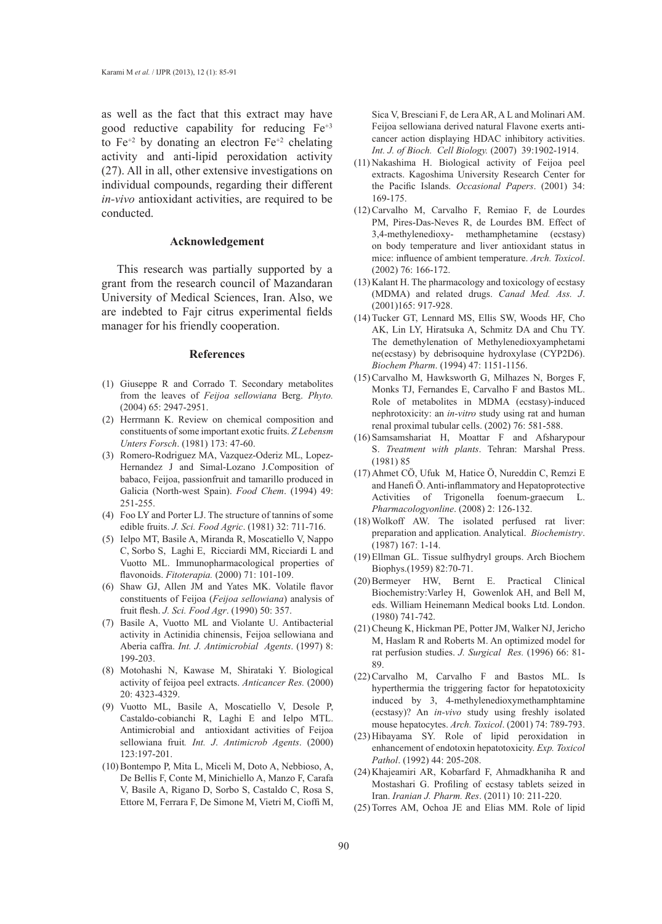as well as the fact that this extract may have good reductive capability for reducing  $Fe^{+3}$ to  $Fe^{+2}$  by donating an electron  $Fe^{+2}$  chelating activity and anti-lipid peroxidation activity (27). All in all, other extensive investigations on individual compounds, regarding their different *in-vivo* antioxidant activities, are required to be conducted.

# **Acknowledgement**

This research was partially supported by a grant from the research council of Mazandaran University of Medical Sciences, Iran. Also, we are indebted to Fajr citrus experimental fields manager for his friendly cooperation.

# **References**

- (1) Giuseppe R and Corrado T. Secondary metabolites from the leaves of *Feijoa sellowiana* Berg. *Phyto.*  (2004) 65: 2947-2951.
- (2) Herrmann K. Review on chemical composition and constituents of some important exotic fruits. *Z Lebensm Unters Forsch*. (1981) 173: 47-60.
- (3) Romero-Rodriguez MA, Vazquez-Oderiz ML, Lopez-Hernandez J and Simal-Lozano J.Composition of babaco, Feijoa, passionfruit and tamarillo produced in Galicia (North-west Spain). *Food Chem*. (1994) 49: 251-255.
- Foo LY and Porter LJ. The structure of tannins of some (4) edible fruits. *J. Sci. Food Agric*. (1981) 32: 711-716.
- (5) Ielpo MT, Basile A, Miranda R, Moscatiello V, Nappo C, Sorbo S, Laghi E, Ricciardi MM, Ricciardi L and Vuotto ML. Immunopharmacological properties of flavonoids. *Fitoterapia.* (2000) 71: 101-109.
- (6) Shaw GJ, Allen JM and Yates MK. Volatile flavor constituents of Feijoa (*Feijoa sellowiana*) analysis of fruit flesh. *J. Sci. Food Agr*. (1990) 50: 357.
- (7) Basile A, Vuotto ML and Violante U. Antibacterial activity in Actinidia chinensis, Feijoa sellowiana and Aberia caffra. *Int. J. Antimicrobial Agents*. (1997) 8: 199-203.
- Motohashi N, Kawase M, Shirataki Y. Biological (8) activity of feijoa peel extracts. *Anticancer Res.* (2000) 20: 4323-4329.
- (9) Vuotto ML, Basile A, Moscatiello V, Desole P, Castaldo-cobianchi R, Laghi E and Ielpo MTL. Antimicrobial and antioxidant activities of Feijoa sellowiana fruit*. Int. J*. *Antimicrob Agents*. (2000) 123:197-201.
- (10) Bontempo P, Mita L, Miceli M, Doto A, Nebbioso, A, De Bellis F, Conte M, Minichiello A, Manzo F, Carafa V, Basile A, Rigano D, Sorbo S, Castaldo C, Rosa S, Ettore M, Ferrara F, De Simone M, Vietri M, Cioffi M,

Sica V, Bresciani F, de Lera AR, A L and Molinari AM. Feijoa sellowiana derived natural Flavone exerts anticancer action displaying HDAC inhibitory activities. *Int. J. of Bioch. Cell Biology.* (2007) 39:1902-1914.

- (11) Nakashima H. Biological activity of Feijoa peel extracts. Kagoshima University Research Center for the Pacific Islands. *Occasional Papers*. (2001) 34: 169-175.
- $(12)$  Carvalho M, Carvalho F, Remiao F, de Lourdes PM, Pires-Das-Neves R, de Lourdes BM. Effect of 3,4-methylenedioxy- methamphetamine (ecstasy) on body temperature and liver antioxidant status in mice: influence of ambient temperature. *Arch. Toxicol*. (2002) 76: 166-172.
- $(13)$  Kalant H. The pharmacology and toxicology of ecstasy (MDMA) and related drugs. *Canad Med. Ass. J*. (2001)165: 917-928.
- $(14)$  Tucker GT, Lennard MS, Ellis SW, Woods HF, Cho AK, Lin LY, Hiratsuka A, Schmitz DA and Chu TY. The demethylenation of Methylenedioxyamphetami ne(ecstasy) by debrisoquine hydroxylase (CYP2D6). *Biochem Pharm*. (1994) 47: 1151-1156.
- $(15)$  Carvalho M, Hawksworth G, Milhazes N, Borges F, Monks TJ, Fernandes E, Carvalho F and Bastos ML. Role of metabolites in MDMA (ecstasy)-induced nephrotoxicity: an *in-vitro* study using rat and human renal proximal tubular cells. (2002) 76: 581-588.
- (16) Samsamshariat H, Moattar F and Afsharypour S. *Treatment with plants*. Tehran: Marshal Press. (1981) 85
- (17) Ahmet CO, Ufuk M, Hatice O, Nureddin C, Remzi E and Hanefi Ö. Anti-inflammatory and Hepatoprotective Activities of Trigonella foenum-graecum L. *Pharmacologyonline*. (2008) 2: 126-132.
- Wolkoff AW. The isolated perfused rat liver: (18) preparation and application. Analytical. *Biochemistry*. (1987) 167: 1-14.
- Ellman GL. Tissue sulfhydryl groups. Arch Biochem (19) Biophys.(1959) 82:70-71.
- (20) Bermeyer HW, Bernt E. Practical Clinical Biochemistry:Varley H, Gowenlok AH, and Bell M, eds. William Heinemann Medical books Ltd. London. (1980) 741-742.
- (21) Cheung K, Hickman PE, Potter JM, Walker NJ, Jericho M, Haslam R and Roberts M. An optimized model for rat perfusion studies. *J. Surgical Res.* (1996) 66: 81- 89.
- $(22)$  Carvalho M, Carvalho F and Bastos ML. Is hyperthermia the triggering factor for hepatotoxicity induced by 3, 4-methylenedioxymethamphtamine (ecstasy)? An *in-vivo* study using freshly isolated mouse hepatocytes. *Arch. Toxicol*. (2001) 74: 789-793.
- (23) Hibayama SY. Role of lipid peroxidation in enhancement of endotoxin hepatotoxicity. *Exp. Toxicol Pathol*. (1992) 44: 205-208.
- (24) Khajeamiri AR, Kobarfard F, Ahmadkhaniha R and Mostashari G. Profiling of ecstasy tablets seized in Iran. *Iranian J. Pharm. Res*. (2011) 10: 211-220.
- (25) Torres AM, Ochoa JE and Elias MM. Role of lipid